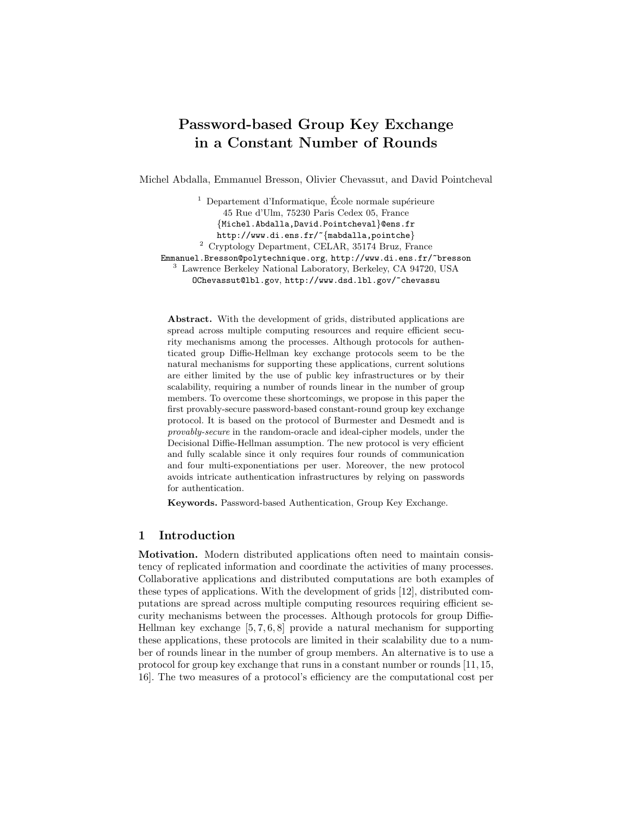# Password-based Group Key Exchange in a Constant Number of Rounds

Michel Abdalla, Emmanuel Bresson, Olivier Chevassut, and David Pointcheval

 $<sup>1</sup>$  Departement d'Informatique, École normale supérieure</sup> 45 Rue d'Ulm, 75230 Paris Cedex 05, France {Michel.Abdalla,David.Pointcheval}@ens.fr http://www.di.ens.fr/~{mabdalla,pointche} <sup>2</sup> Cryptology Department, CELAR, 35174 Bruz, France Emmanuel.Bresson@polytechnique.org, http://www.di.ens.fr/~bresson <sup>3</sup> Lawrence Berkeley National Laboratory, Berkeley, CA 94720, USA OChevassut@lbl.gov, http://www.dsd.lbl.gov/~chevassu

Abstract. With the development of grids, distributed applications are spread across multiple computing resources and require efficient security mechanisms among the processes. Although protocols for authenticated group Diffie-Hellman key exchange protocols seem to be the natural mechanisms for supporting these applications, current solutions are either limited by the use of public key infrastructures or by their scalability, requiring a number of rounds linear in the number of group members. To overcome these shortcomings, we propose in this paper the first provably-secure password-based constant-round group key exchange protocol. It is based on the protocol of Burmester and Desmedt and is provably-secure in the random-oracle and ideal-cipher models, under the Decisional Diffie-Hellman assumption. The new protocol is very efficient and fully scalable since it only requires four rounds of communication and four multi-exponentiations per user. Moreover, the new protocol avoids intricate authentication infrastructures by relying on passwords for authentication.

Keywords. Password-based Authentication, Group Key Exchange.

# 1 Introduction

Motivation. Modern distributed applications often need to maintain consistency of replicated information and coordinate the activities of many processes. Collaborative applications and distributed computations are both examples of these types of applications. With the development of grids [12], distributed computations are spread across multiple computing resources requiring efficient security mechanisms between the processes. Although protocols for group Diffie-Hellman key exchange  $[5, 7, 6, 8]$  provide a natural mechanism for supporting these applications, these protocols are limited in their scalability due to a number of rounds linear in the number of group members. An alternative is to use a protocol for group key exchange that runs in a constant number or rounds [11, 15, 16]. The two measures of a protocol's efficiency are the computational cost per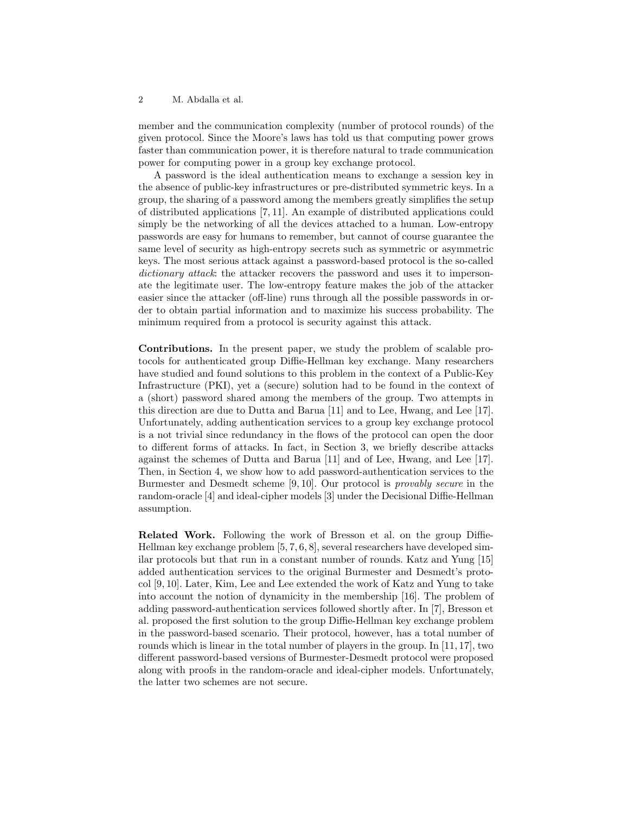member and the communication complexity (number of protocol rounds) of the given protocol. Since the Moore's laws has told us that computing power grows faster than communication power, it is therefore natural to trade communication power for computing power in a group key exchange protocol.

A password is the ideal authentication means to exchange a session key in the absence of public-key infrastructures or pre-distributed symmetric keys. In a group, the sharing of a password among the members greatly simplifies the setup of distributed applications [7, 11]. An example of distributed applications could simply be the networking of all the devices attached to a human. Low-entropy passwords are easy for humans to remember, but cannot of course guarantee the same level of security as high-entropy secrets such as symmetric or asymmetric keys. The most serious attack against a password-based protocol is the so-called dictionary attack: the attacker recovers the password and uses it to impersonate the legitimate user. The low-entropy feature makes the job of the attacker easier since the attacker (off-line) runs through all the possible passwords in order to obtain partial information and to maximize his success probability. The minimum required from a protocol is security against this attack.

Contributions. In the present paper, we study the problem of scalable protocols for authenticated group Diffie-Hellman key exchange. Many researchers have studied and found solutions to this problem in the context of a Public-Key Infrastructure (PKI), yet a (secure) solution had to be found in the context of a (short) password shared among the members of the group. Two attempts in this direction are due to Dutta and Barua [11] and to Lee, Hwang, and Lee [17]. Unfortunately, adding authentication services to a group key exchange protocol is a not trivial since redundancy in the flows of the protocol can open the door to different forms of attacks. In fact, in Section 3, we briefly describe attacks against the schemes of Dutta and Barua [11] and of Lee, Hwang, and Lee [17]. Then, in Section 4, we show how to add password-authentication services to the Burmester and Desmedt scheme [9, 10]. Our protocol is provably secure in the random-oracle [4] and ideal-cipher models [3] under the Decisional Diffie-Hellman assumption.

Related Work. Following the work of Bresson et al. on the group Diffie-Hellman key exchange problem [5, 7, 6, 8], several researchers have developed similar protocols but that run in a constant number of rounds. Katz and Yung [15] added authentication services to the original Burmester and Desmedt's protocol [9, 10]. Later, Kim, Lee and Lee extended the work of Katz and Yung to take into account the notion of dynamicity in the membership [16]. The problem of adding password-authentication services followed shortly after. In [7], Bresson et al. proposed the first solution to the group Diffie-Hellman key exchange problem in the password-based scenario. Their protocol, however, has a total number of rounds which is linear in the total number of players in the group. In [11, 17], two different password-based versions of Burmester-Desmedt protocol were proposed along with proofs in the random-oracle and ideal-cipher models. Unfortunately, the latter two schemes are not secure.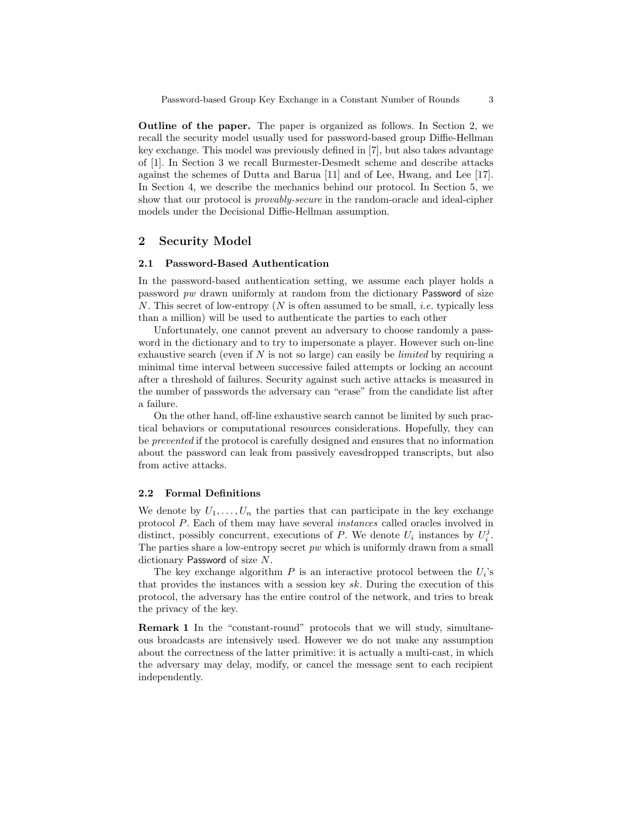Outline of the paper. The paper is organized as follows. In Section 2, we recall the security model usually used for password-based group Diffie-Hellman key exchange. This model was previously defined in [7], but also takes advantage of [1]. In Section 3 we recall Burmester-Desmedt scheme and describe attacks against the schemes of Dutta and Barua [11] and of Lee, Hwang, and Lee [17]. In Section 4, we describe the mechanics behind our protocol. In Section 5, we show that our protocol is *provably-secure* in the random-oracle and ideal-cipher models under the Decisional Diffie-Hellman assumption.

## 2 Security Model

## 2.1 Password-Based Authentication

In the password-based authentication setting, we assume each player holds a password pw drawn uniformly at random from the dictionary Password of size N. This secret of low-entropy (N is often assumed to be small, *i.e.* typically less than a million) will be used to authenticate the parties to each other

Unfortunately, one cannot prevent an adversary to choose randomly a password in the dictionary and to try to impersonate a player. However such on-line exhaustive search (even if  $N$  is not so large) can easily be *limited* by requiring a minimal time interval between successive failed attempts or locking an account after a threshold of failures. Security against such active attacks is measured in the number of passwords the adversary can "erase" from the candidate list after a failure.

On the other hand, off-line exhaustive search cannot be limited by such practical behaviors or computational resources considerations. Hopefully, they can be prevented if the protocol is carefully designed and ensures that no information about the password can leak from passively eavesdropped transcripts, but also from active attacks.

## 2.2 Formal Definitions

We denote by  $U_1, \ldots, U_n$  the parties that can participate in the key exchange protocol P. Each of them may have several instances called oracles involved in distinct, possibly concurrent, executions of P. We denote  $U_i$  instances by  $U_i^j$ . The parties share a low-entropy secret  $pw$  which is uniformly drawn from a small dictionary Password of size N.

The key exchange algorithm  $P$  is an interactive protocol between the  $U_i$ 's that provides the instances with a session key sk. During the execution of this protocol, the adversary has the entire control of the network, and tries to break the privacy of the key.

Remark 1 In the "constant-round" protocols that we will study, simultaneous broadcasts are intensively used. However we do not make any assumption about the correctness of the latter primitive: it is actually a multi-cast, in which the adversary may delay, modify, or cancel the message sent to each recipient independently.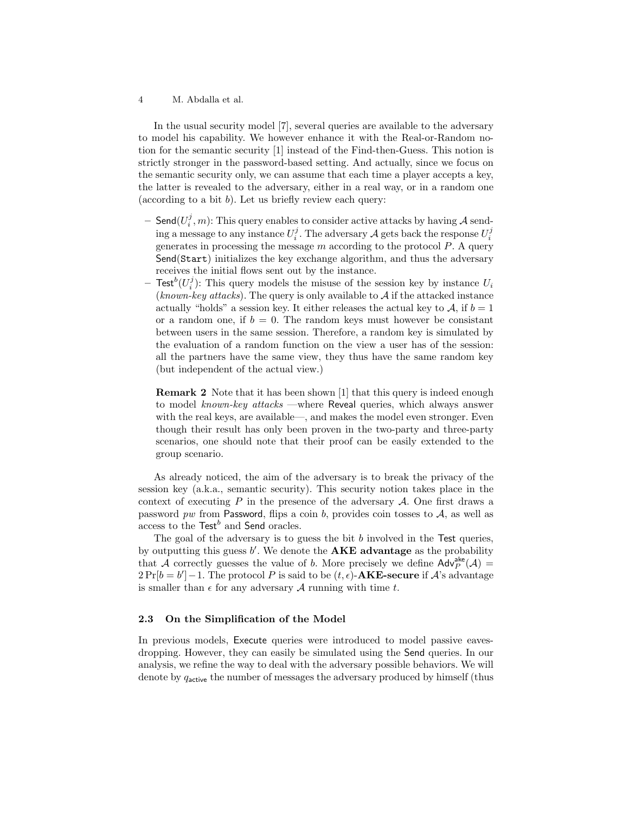In the usual security model [7], several queries are available to the adversary to model his capability. We however enhance it with the Real-or-Random notion for the semantic security [1] instead of the Find-then-Guess. This notion is strictly stronger in the password-based setting. And actually, since we focus on the semantic security only, we can assume that each time a player accepts a key, the latter is revealed to the adversary, either in a real way, or in a random one (according to a bit  $b$ ). Let us briefly review each query:

- $-$  Send $(U_i^j, m)$ : This query enables to consider active attacks by having A sending a message to any instance  $U_i^j$ . The adversary  $\mathcal A$  gets back the response  $U_i^j$ generates in processing the message  $m$  according to the protocol  $P$ . A query Send(Start) initializes the key exchange algorithm, and thus the adversary receives the initial flows sent out by the instance.
- Test<sup>b</sup> $(U_i^j)$ : This query models the misuse of the session key by instance  $U_i$  $(known-key attacks)$ . The query is only available to A if the attacked instance actually "holds" a session key. It either releases the actual key to A, if  $b = 1$ or a random one, if  $b = 0$ . The random keys must however be consistant between users in the same session. Therefore, a random key is simulated by the evaluation of a random function on the view a user has of the session: all the partners have the same view, they thus have the same random key (but independent of the actual view.)

Remark 2 Note that it has been shown [1] that this query is indeed enough to model known-key attacks —where Reveal queries, which always answer with the real keys, are available—, and makes the model even stronger. Even though their result has only been proven in the two-party and three-party scenarios, one should note that their proof can be easily extended to the group scenario.

As already noticed, the aim of the adversary is to break the privacy of the session key (a.k.a., semantic security). This security notion takes place in the context of executing  $P$  in the presence of the adversary  $A$ . One first draws a password pw from Password, flips a coin  $b$ , provides coin tosses to  $A$ , as well as access to the  $\text{Test}^b$  and Send oracles.

The goal of the adversary is to guess the bit  $b$  involved in the Test queries, by outputting this guess  $b'$ . We denote the **AKE** advantage as the probability that A correctly guesses the value of b. More precisely we define  $\overline{\text{Adv}}^{\text{ake}}_P(\mathcal{A}) =$  $2 \Pr[b = b'] - 1$ . The protocol P is said to be  $(t, \epsilon)$ -**AKE-secure** if A's advantage is smaller than  $\epsilon$  for any adversary A running with time t.

## 2.3 On the Simplification of the Model

In previous models, Execute queries were introduced to model passive eavesdropping. However, they can easily be simulated using the Send queries. In our analysis, we refine the way to deal with the adversary possible behaviors. We will denote by  $q_{\text{active}}$  the number of messages the adversary produced by himself (thus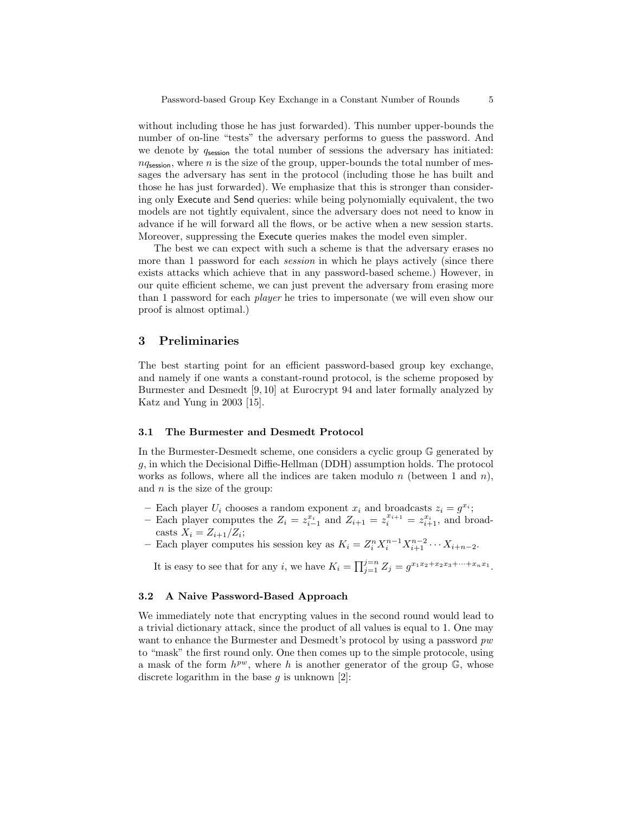without including those he has just forwarded). This number upper-bounds the number of on-line "tests" the adversary performs to guess the password. And we denote by  $q_{\text{session}}$  the total number of sessions the adversary has initiated:  $nq_{\text{session}}$ , where  $n$  is the size of the group, upper-bounds the total number of messages the adversary has sent in the protocol (including those he has built and those he has just forwarded). We emphasize that this is stronger than considering only Execute and Send queries: while being polynomially equivalent, the two models are not tightly equivalent, since the adversary does not need to know in advance if he will forward all the flows, or be active when a new session starts. Moreover, suppressing the Execute queries makes the model even simpler.

The best we can expect with such a scheme is that the adversary erases no more than 1 password for each *session* in which he plays actively (since there exists attacks which achieve that in any password-based scheme.) However, in our quite efficient scheme, we can just prevent the adversary from erasing more than 1 password for each player he tries to impersonate (we will even show our proof is almost optimal.)

# 3 Preliminaries

The best starting point for an efficient password-based group key exchange, and namely if one wants a constant-round protocol, is the scheme proposed by Burmester and Desmedt [9, 10] at Eurocrypt 94 and later formally analyzed by Katz and Yung in 2003 [15].

#### 3.1 The Burmester and Desmedt Protocol

In the Burmester-Desmedt scheme, one considers a cyclic group G generated by g, in which the Decisional Diffie-Hellman (DDH) assumption holds. The protocol works as follows, where all the indices are taken modulo n (between 1 and n), and  $n$  is the size of the group:

- Each player  $U_i$  chooses a random exponent  $x_i$  and broadcasts  $z_i = g^{x_i}$ ;
- − Each player computes the  $Z_i = z_{i-1}^{x_i}$  and  $Z_{i+1} = z_i^{x_{i+1}} = z_{i+1}^{x_i}$ , and broadcasts  $X_i = Z_{i+1}/Z_i$ ;
- Each player computes his session key as  $K_i = Z_i^n X_i^{n-1} X_{i+1}^{n-2} \cdots X_{i+n-2}$ .

It is easy to see that for any *i*, we have  $K_i = \prod_{j=1}^{j=n} Z_j = g^{x_1 x_2 + x_2 x_3 + \dots + x_n x_1}$ .

## 3.2 A Naive Password-Based Approach

We immediately note that encrypting values in the second round would lead to a trivial dictionary attack, since the product of all values is equal to 1. One may want to enhance the Burmester and Desmedt's protocol by using a password pw to "mask" the first round only. One then comes up to the simple protocole, using a mask of the form  $h^{pw}$ , where h is another generator of the group  $\mathbb{G}$ , whose discrete logarithm in the base  $g$  is unknown [2]: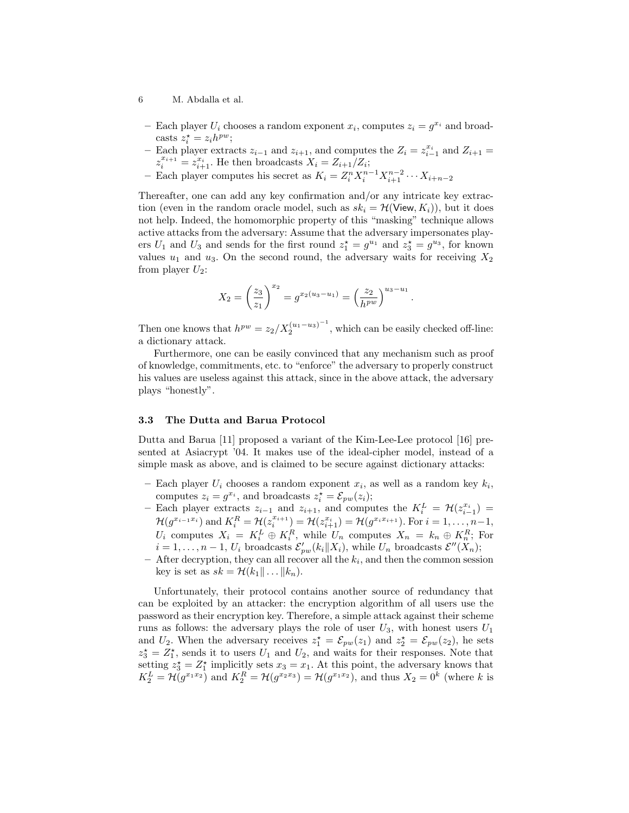- 6 M. Abdalla et al.
	- Each player  $U_i$  chooses a random exponent  $x_i$ , computes  $z_i = g^{x_i}$  and broadcasts  $z_i^* = z_i h^{pw};$
	- Each player extracts  $z_{i-1}$  and  $z_{i+1}$ , and computes the  $Z_i = z_{i-1}^{x_i}$  and  $Z_{i+1} =$  $z_i^{x_{i+1}} = z_{i+1}^{x_i}$ . He then broadcasts  $X_i = Z_{i+1}/Z_i$ ;
	- Each player computes his secret as  $K_i = Z_i^n X_i^{n-1} X_{i+1}^{n-2} \cdots X_{i+n-2}$

Thereafter, one can add any key confirmation and/or any intricate key extraction (even in the random oracle model, such as  $sk_i = H(V$ iew,  $K_i)$ ), but it does not help. Indeed, the homomorphic property of this "masking" technique allows active attacks from the adversary: Assume that the adversary impersonates players  $U_1$  and  $U_3$  and sends for the first round  $z_1^* = g^{u_1}$  and  $z_3^* = g^{u_3}$ , for known values  $u_1$  and  $u_3$ . On the second round, the adversary waits for receiving  $X_2$ from player  $U_2$ :

$$
X_2 = \left(\frac{z_3}{z_1}\right)^{x_2} = g^{x_2(u_3 - u_1)} = \left(\frac{z_2}{h^{pw}}\right)^{u_3 - u_1}.
$$

Then one knows that  $h^{pw} = z_2/X_2^{(u_1-u_3)^{-1}}$  $2^{(u_1 - u_3)}$ , which can be easily checked off-line: a dictionary attack.

Furthermore, one can be easily convinced that any mechanism such as proof of knowledge, commitments, etc. to "enforce" the adversary to properly construct his values are useless against this attack, since in the above attack, the adversary plays "honestly".

## 3.3 The Dutta and Barua Protocol

Dutta and Barua [11] proposed a variant of the Kim-Lee-Lee protocol [16] presented at Asiacrypt '04. It makes use of the ideal-cipher model, instead of a simple mask as above, and is claimed to be secure against dictionary attacks:

- Each player  $U_i$  chooses a random exponent  $x_i$ , as well as a random key  $k_i$ , computes  $z_i = g^{x_i}$ , and broadcasts  $z_i^* = \mathcal{E}_{pw}(z_i);$
- Each player extracts  $z_{i-1}$  and  $z_{i+1}$ , and computes the  $K_i^L = \mathcal{H}(z_{i-1}^{x_i}) =$  $\mathcal{H}(g^{x_{i-1}x_i})$  and  $K_i^R = \mathcal{H}(z_i^{x_{i+1}}) = \mathcal{H}(z_{i+1}^{x_i}) = \mathcal{H}(g^{x_ix_{i+1}})$ . For  $i = 1, ..., n-1$ ,  $U_i$  computes  $X_i = K_i^L \oplus K_i^R$ , while  $U_n$  computes  $X_n = k_n \oplus K_n^R$ ; For  $i = 1, \ldots, n-1, U_i$  broadcasts  $\mathcal{E}'_{pw}(k_i || X_i)$ , while  $U_n$  broadcasts  $\mathcal{E}''(\tilde{X}_n)$ ;
- $-$  After decryption, they can all recover all the  $k_i$ , and then the common session key is set as  $sk = \mathcal{H}(k_1 \| \dots \| k_n)$ .

Unfortunately, their protocol contains another source of redundancy that can be exploited by an attacker: the encryption algorithm of all users use the password as their encryption key. Therefore, a simple attack against their scheme runs as follows: the adversary plays the role of user  $U_3$ , with honest users  $U_1$ and  $U_2$ . When the adversary receives  $z_1^* = \mathcal{E}_{pw}(z_1)$  and  $z_2^* = \mathcal{E}_{pw}(z_2)$ , he sets  $z_3^* = Z_1^*$ , sends it to users  $U_1$  and  $U_2$ , and waits for their responses. Note that setting  $z_3^* = Z_1^*$  implicitly sets  $x_3 = x_1$ . At this point, the adversary knows that  $K_2^L = \mathcal{H}(g^{x_1 x_2})$  and  $K_2^R = \mathcal{H}(g^{x_2 x_3}) = \mathcal{H}(g^{x_1 x_2})$ , and thus  $X_2 = 0^k$  (where k is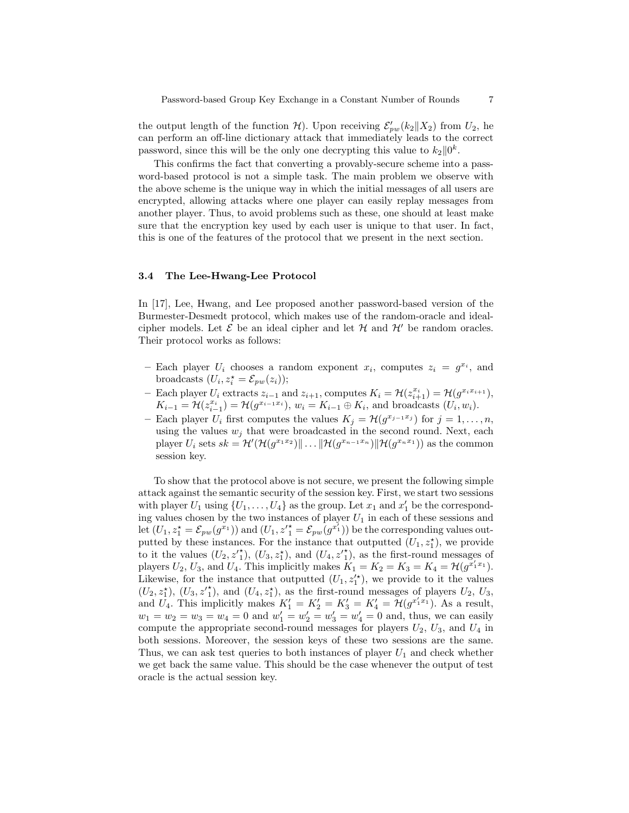the output length of the function  $\mathcal{H}$ ). Upon receiving  $\mathcal{E}'_{pw}(k_2||X_2)$  from  $U_2$ , he can perform an off-line dictionary attack that immediately leads to the correct password, since this will be the only one decrypting this value to  $k_2||0^k$ .

This confirms the fact that converting a provably-secure scheme into a password-based protocol is not a simple task. The main problem we observe with the above scheme is the unique way in which the initial messages of all users are encrypted, allowing attacks where one player can easily replay messages from another player. Thus, to avoid problems such as these, one should at least make sure that the encryption key used by each user is unique to that user. In fact, this is one of the features of the protocol that we present in the next section.

## 3.4 The Lee-Hwang-Lee Protocol

In [17], Lee, Hwang, and Lee proposed another password-based version of the Burmester-Desmedt protocol, which makes use of the random-oracle and idealcipher models. Let  $\mathcal E$  be an ideal cipher and let  $\mathcal H$  and  $\mathcal H'$  be random oracles. Their protocol works as follows:

- Each player  $U_i$  chooses a random exponent  $x_i$ , computes  $z_i = g^{x_i}$ , and broadcasts  $(U_i, z_i^* = \mathcal{E}_{pw}(z_i));$
- Each player  $U_i$  extracts  $z_{i-1}$  and  $z_{i+1}$ , computes  $K_i = \mathcal{H}(z_{i+1}^{x_i}) = \mathcal{H}(g^{x_i x_{i+1}})$ ,  $K_{i-1} = \mathcal{H}(z_{i-1}^{x_i}) = \mathcal{H}(g^{x_{i-1}x_i}), w_i = K_{i-1} \oplus K_i$ , and broadcasts  $(U_i, w_i)$ .
- Each player  $U_i$  first computes the values  $K_j = \mathcal{H}(g^{x_{j-1}x_j})$  for  $j = 1, \ldots, n$ , using the values  $w_j$  that were broadcasted in the second round. Next, each player  $U_i$  sets  $sk = \mathcal{H}'(\mathcal{H}(g^{x_1x_2})\|\ldots\|\mathcal{H}(g^{x_{n-1}x_n})\|\mathcal{H}(g^{x_nx_1}))$  as the common session key.

To show that the protocol above is not secure, we present the following simple attack against the semantic security of the session key. First, we start two sessions with player  $U_1$  using  $\{U_1, \ldots, U_4\}$  as the group. Let  $x_1$  and  $x_1'$  be the corresponding values chosen by the two instances of player  $U_1$  in each of these sessions and let  $(U_1, z_1^* = \mathcal{E}_{pw}(g^{x_1})$  and  $(U_1, z_1'^* = \mathcal{E}_{pw}(g^{x_1'})$  be the corresponding values outputted by these instances. For the instance that outputted  $(U_1, z_1^*)$ , we provide to it the values  $(U_2, z_1^{\prime\star})$ ,  $(U_3, z_1^{\star})$ , and  $(U_4, z_1^{\prime\star})$ , as the first-round messages of players  $U_2$ ,  $U_3$ , and  $U_4$ . This implicitly makes  $K_1 = K_2 = K_3 = K_4 = \mathcal{H}(g^{x_1'x_1})$ . Likewise, for the instance that outputted  $(U_1, z_1^{\prime\star})$ , we provide to it the values  $(U_2, z_1^*)$ ,  $(U_3, z_{1}^*)$ , and  $(U_4, z_1^*)$ , as the first-round messages of players  $U_2$ ,  $U_3$ , and  $U_4$ . This implicitly makes  $K'_1 = K'_2 = K'_3 = K'_4 = \mathcal{H}(g^{x'_1 x_1})$ . As a result,  $w_1 = w_2 = w_3 = w_4 = 0$  and  $w'_1 = w'_2 = w'_3 = w'_4 = 0$  and, thus, we can easily compute the appropriate second-round messages for players  $U_2$ ,  $U_3$ , and  $U_4$  in both sessions. Moreover, the session keys of these two sessions are the same. Thus, we can ask test queries to both instances of player  $U_1$  and check whether we get back the same value. This should be the case whenever the output of test oracle is the actual session key.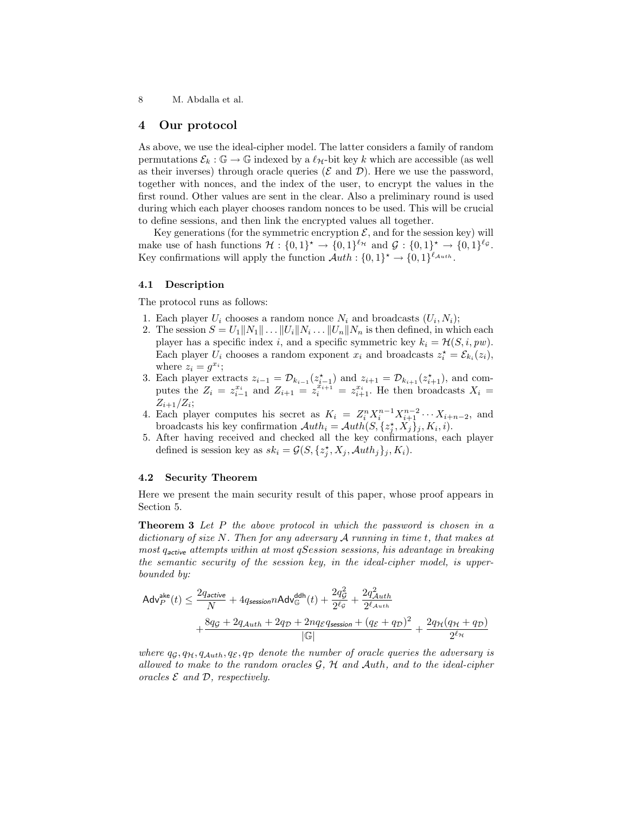## 4 Our protocol

As above, we use the ideal-cipher model. The latter considers a family of random permutations  $\mathcal{E}_k : \mathbb{G} \to \mathbb{G}$  indexed by a  $\ell_{\mathcal{H}}$ -bit key k which are accessible (as well as their inverses) through oracle queries ( $\mathcal E$  and  $\mathcal D$ ). Here we use the password, together with nonces, and the index of the user, to encrypt the values in the first round. Other values are sent in the clear. Also a preliminary round is used during which each player chooses random nonces to be used. This will be crucial to define sessions, and then link the encrypted values all together.

Key generations (for the symmetric encryption  $\mathcal{E}$ , and for the session key) will make use of hash functions  $\mathcal{H}: \{0,1\}^{\star} \to \{0,1\}^{\ell_{\mathcal{H}}}$  and  $\mathcal{G}: \{0,1\}^{\star} \to \{0,1\}^{\ell_{\mathcal{G}}}$ . Key confirmations will apply the function  $\mathcal{A}uth : \{0, 1\}^{\star} \to \{0, 1\}^{\ell_{\mathcal{A}uth}}$ .

### 4.1 Description

The protocol runs as follows:

- 1. Each player  $U_i$  chooses a random nonce  $N_i$  and broadcasts  $(U_i, N_i)$ ;
- 2. The session  $S = U_1 ||N_1|| \dots ||U_i|| N_i \dots ||U_n|| N_n$  is then defined, in which each player has a specific index i, and a specific symmetric key  $k_i = \mathcal{H}(S, i, pw)$ . Each player  $U_i$  chooses a random exponent  $x_i$  and broadcasts  $z_i^* = \mathcal{E}_{k_i}(z_i)$ , where  $z_i = g^{x_i}$ ;
- 3. Each player extracts  $z_{i-1} = \mathcal{D}_{k_{i-1}}(z_{i-1}^{\star})$  and  $z_{i+1} = \mathcal{D}_{k_{i+1}}(z_{i+1}^{\star})$ , and computes the  $Z_i = z_{i-1}^{x_i}$  and  $Z_{i+1} = z_i^{x_{i+1}} = z_{i+1}^{x_i}$ . He then broadcasts  $X_i =$  $Z_{i+1}/Z_i$ ;
- 4. Each player computes his secret as  $K_i = Z_i^n X_i^{n-1} X_{i+1}^{n-2} \cdots X_{i+n-2}$ , and broadcasts his key confirmation  $\mathcal{A}uth_i = \mathcal{A}uth(S, \{z_j^*, X_j\}_j, K_i, i)$ .
- 5. After having received and checked all the key confirmations, each player defined is session key as  $sk_i = \mathcal{G}(S, \{z_j^*, X_j, \mathcal{A}uth_j\}_j, K_i)$ .

#### 4.2 Security Theorem

Here we present the main security result of this paper, whose proof appears in Section 5.

**Theorem 3** Let P the above protocol in which the password is chosen in a dictionary of size N. Then for any adversary A running in time t, that makes at most qactive attempts within at most qSession sessions, his advantage in breaking the semantic security of the session key, in the ideal-cipher model, is upperbounded by:

$$
\begin{aligned} \mathsf{Adv}^{\mathsf{ake}}_P(t) &\leq \frac{2q_{\mathsf{active}}}{N} + 4q_{\mathsf{session}} n \mathsf{Adv}^{\mathsf{ddh}}_{\mathbb{G}}(t) + \frac{2q^2_{\mathcal{G}}}{2^{\ell_{\mathcal{G}}} + \frac{2q^2_{\mathcal{A}uth}}{2^{\ell_{\mathcal{A}uth}}} \\ &+ \frac{8q_{\mathcal{G}} + 2q_{\mathcal{A}uth} + 2q_{\mathcal{D}} + 2nq_{\mathcal{E}}q_{\mathsf{session}} + (q_{\mathcal{E}} + q_{\mathcal{D}})^2}{|\mathbb{G}|} + \frac{2q_{\mathcal{H}}(q_{\mathcal{H}} + q_{\mathcal{D}})}{2^{\ell_{\mathcal{H}}}} \end{aligned}
$$

where  $q_{\mathcal{G}}, q_{\mathcal{H}}, q_{\mathcal{A}uth}, q_{\mathcal{E}}, q_{\mathcal{D}}$  denote the number of oracle queries the adversary is allowed to make to the random oracles  $G, H$  and  $Auth$ , and to the ideal-cipher oracles  $\mathcal E$  and  $\mathcal D$ , respectively.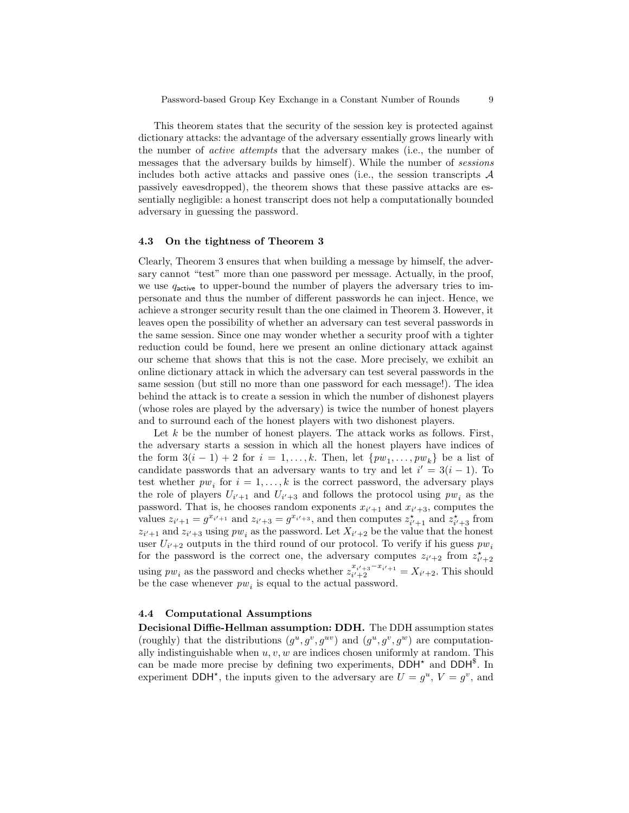This theorem states that the security of the session key is protected against dictionary attacks: the advantage of the adversary essentially grows linearly with the number of active attempts that the adversary makes (i.e., the number of messages that the adversary builds by himself). While the number of sessions includes both active attacks and passive ones (i.e., the session transcripts A passively eavesdropped), the theorem shows that these passive attacks are essentially negligible: a honest transcript does not help a computationally bounded adversary in guessing the password.

## 4.3 On the tightness of Theorem 3

Clearly, Theorem 3 ensures that when building a message by himself, the adversary cannot "test" more than one password per message. Actually, in the proof, we use  $q_{\text{active}}$  to upper-bound the number of players the adversary tries to impersonate and thus the number of different passwords he can inject. Hence, we achieve a stronger security result than the one claimed in Theorem 3. However, it leaves open the possibility of whether an adversary can test several passwords in the same session. Since one may wonder whether a security proof with a tighter reduction could be found, here we present an online dictionary attack against our scheme that shows that this is not the case. More precisely, we exhibit an online dictionary attack in which the adversary can test several passwords in the same session (but still no more than one password for each message!). The idea behind the attack is to create a session in which the number of dishonest players (whose roles are played by the adversary) is twice the number of honest players and to surround each of the honest players with two dishonest players.

Let  $k$  be the number of honest players. The attack works as follows. First, the adversary starts a session in which all the honest players have indices of the form  $3(i-1)+2$  for  $i=1,\ldots,k$ . Then, let  $\{pw_1,\ldots,pw_k\}$  be a list of candidate passwords that an adversary wants to try and let  $i' = 3(i - 1)$ . To test whether  $pw_i$  for  $i = 1, ..., k$  is the correct password, the adversary plays the role of players  $U_{i'+1}$  and  $U_{i'+3}$  and follows the protocol using  $pw_i$  as the password. That is, he chooses random exponents  $x_{i'+1}$  and  $x_{i'+3}$ , computes the values  $z_{i'+1} = g^{x_{i'+1}}$  and  $z_{i'+3} = g^{x_{i'+3}}$ , and then computes  $z_{i'+1}^*$  and  $z_{i'+3}^*$  from  $z_{i'+1}$  and  $z_{i'+3}$  using  $pw_i$  as the password. Let  $X_{i'+2}$  be the value that the honest user  $U_{i'+2}$  outputs in the third round of our protocol. To verify if his guess  $pw_i$ for the password is the correct one, the adversary computes  $z_{i'+2}$  from  $z_{i'+2}^*$ using  $pw_i$  as the password and checks whether  $z_{i'+2}^{x_{i'+3}-x_{i'+1}} = X_{i'+2}$ . This should be the case whenever  $pw_i$  is equal to the actual password.

#### 4.4 Computational Assumptions

Decisional Diffie-Hellman assumption: DDH. The DDH assumption states (roughly) that the distributions  $(g^u, g^v, g^{uv})$  and  $(g^u, g^v, g^w)$  are computationally indistinguishable when  $u, v, w$  are indices chosen uniformly at random. This can be made more precise by defining two experiments,  $DDH^*$  and  $DDH^*$ . In experiment DDH<sup>\*</sup>, the inputs given to the adversary are  $U = g^u$ ,  $V = g^v$ , and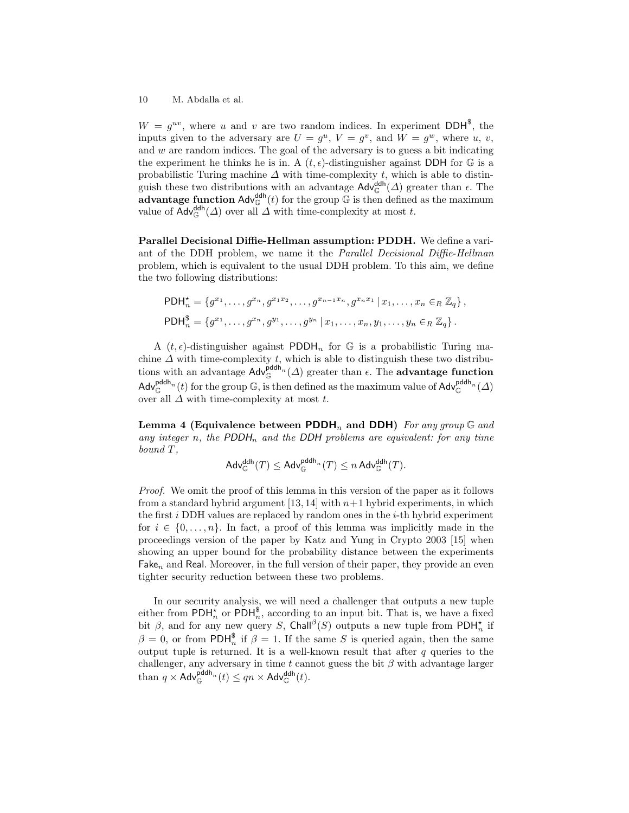$W = g^{uv}$ , where u and v are two random indices. In experiment DDH<sup>\$</sup>, the inputs given to the adversary are  $U = g^u$ ,  $V = g^v$ , and  $W = g^w$ , where u, v, and  $w$  are random indices. The goal of the adversary is to guess a bit indicating the experiment he thinks he is in. A  $(t, \epsilon)$ -distinguisher against DDH for  $\mathbb{G}$  is a probabilistic Turing machine  $\Delta$  with time-complexity t, which is able to distinguish these two distributions with an advantage  $\mathsf{Adv}_{\mathbb{G}}^{\mathsf{ddh}}(\Delta)$  greater than  $\epsilon$ . The **advantage function**  $\mathsf{Adv}_{\mathbb{G}}^{\mathsf{ddh}}(t)$  for the group  $\mathbb{G}$  is then defined as the maximum value of  $\mathsf{Adv}_{\mathbb{G}}^{\mathsf{ddh}}(\Delta)$  over all  $\Delta$  with time-complexity at most t.

Parallel Decisional Diffie-Hellman assumption: PDDH. We define a variant of the DDH problem, we name it the Parallel Decisional Diffie-Hellman problem, which is equivalent to the usual DDH problem. To this aim, we define the two following distributions:

$$
PDH_n^* = \{g^{x_1}, \dots, g^{x_n}, g^{x_1 x_2}, \dots, g^{x_{n-1} x_n}, g^{x_n x_1} | x_1, \dots, x_n \in_R \mathbb{Z}_q \},
$$
  
\n
$$
PDH_n^{\$} = \{g^{x_1}, \dots, g^{x_n}, g^{y_1}, \dots, g^{y_n} | x_1, \dots, x_n, y_1, \dots, y_n \in_R \mathbb{Z}_q \}.
$$

A  $(t, \epsilon)$ -distinguisher against PDDH<sub>n</sub> for  $\mathbb{G}$  is a probabilistic Turing machine  $\Delta$  with time-complexity t, which is able to distinguish these two distributions with an advantage  $\mathsf{Adv}_{\mathbb{G}}^{\mathsf{pddh}_n}(\Delta)$  greater than  $\epsilon$ . The **advantage function**  $\mathsf{Adv}_{\mathbb{G}}^{\mathsf{pddh}_n}(t)$  for the group  $\mathbb{G}$ , is then defined as the maximum value of  $\mathsf{Adv}_{\mathbb{G}}^{\mathsf{pddh}_n}(\Delta)$ over all  $\varDelta$  with time-complexity at most  $t.$ 

Lemma 4 (Equivalence between PDDH<sub>n</sub> and DDH) For any group  $\mathbb{G}$  and any integer n, the PDDH<sub>n</sub> and the DDH problems are equivalent: for any time bound T,

$$
\mathsf{Adv}^{\mathsf{ddh}}_{\mathbb{G}}(T) \leq \mathsf{Adv}^{\mathsf{pddh}_n}_{\mathbb{G}}(T) \leq n \mathsf{Adv}^{\mathsf{ddh}}_{\mathbb{G}}(T).
$$

Proof. We omit the proof of this lemma in this version of the paper as it follows from a standard hybrid argument [13, 14] with  $n+1$  hybrid experiments, in which the first  $i$  DDH values are replaced by random ones in the  $i$ -th hybrid experiment for  $i \in \{0, \ldots, n\}$ . In fact, a proof of this lemma was implicitly made in the proceedings version of the paper by Katz and Yung in Crypto 2003 [15] when showing an upper bound for the probability distance between the experiments  $\mathsf{Fake}_n$  and Real. Moreover, in the full version of their paper, they provide an even tighter security reduction between these two problems.

In our security analysis, we will need a challenger that outputs a new tuple either from PDH<sub>n</sub><sup>2</sup> or PDH<sub>n</sub><sup>3</sup>, according to an input bit. That is, we have a fixed bit  $\beta$ , and for any new query S, Chall<sup> $\beta$ </sup>(S) outputs a new tuple from PDH<sup>\*</sup><sub>n</sub> if  $\beta = 0$ , or from PDH<sup>§</sup>, if  $\beta = 1$ . If the same S is queried again, then the same output tuple is returned. It is a well-known result that after  $q$  queries to the challenger, any adversary in time t cannot guess the bit  $\beta$  with advantage larger than  $q \times \mathsf{Adv}_{\mathbb{G}}^{\mathsf{pddh}_n}(t) \leq qn \times \mathsf{Adv}_{\mathbb{G}}^{\mathsf{ddh}}(t).$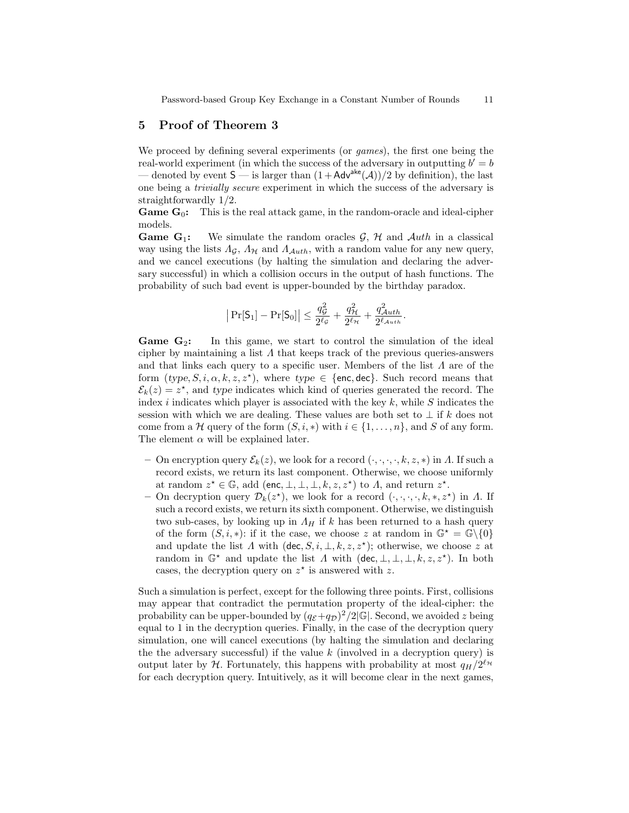# 5 Proof of Theorem 3

We proceed by defining several experiments (or *games*), the first one being the real-world experiment (in which the success of the adversary in outputting  $b' = b$ — denoted by event  $S$  — is larger than  $(1 + \mathsf{Adv}^{\mathsf{ake}}(\mathcal{A}))/2$  by definition), the last one being a trivially secure experiment in which the success of the adversary is straightforwardly 1/2.

**Game G<sub>0</sub>:** This is the real attack game, in the random-oracle and ideal-cipher models.

**Game G<sub>1</sub>:** We simulate the random oracles  $\mathcal{G}$ ,  $\mathcal{H}$  and  $\mathcal{A}uth$  in a classical way using the lists  $\Lambda_G$ ,  $\Lambda_H$  and  $\Lambda_{\mathcal{A}uth}$ , with a random value for any new query, and we cancel executions (by halting the simulation and declaring the adversary successful) in which a collision occurs in the output of hash functions. The probability of such bad event is upper-bounded by the birthday paradox.

$$
\left|\Pr[\mathsf{S}_1]-\Pr[\mathsf{S}_0]\right|\leq \frac{q^2_{\mathcal{G}}}{2^{\ell_{\mathcal{G}}}}+\frac{q^2_{\mathcal{H}}}{2^{\ell_{\mathcal{H}}}+\frac{q^2_{\mathcal{A}uth}}{2^{\ell_{\mathcal{A}uth}}}.
$$

**Game**  $G_2$ **:** In this game, we start to control the simulation of the ideal cipher by maintaining a list  $\Lambda$  that keeps track of the previous queries-answers and that links each query to a specific user. Members of the list  $\Lambda$  are of the form  $(type, S, i, \alpha, k, z, z^*)$ , where  $type \in \{enc, dec\}$ . Such record means that  $\mathcal{E}_k(z) = z^*$ , and type indicates which kind of queries generated the record. The index i indicates which player is associated with the key  $k$ , while  $S$  indicates the session with which we are dealing. These values are both set to  $\perp$  if k does not come from a H query of the form  $(S, i, *)$  with  $i \in \{1, ..., n\}$ , and S of any form. The element  $\alpha$  will be explained later.

- On encryption query  $\mathcal{E}_k(z)$ , we look for a record  $(\cdot, \cdot, \cdot, \cdot, k, z, *)$  in  $\Lambda$ . If such a record exists, we return its last component. Otherwise, we choose uniformly at random  $z^* \in \mathbb{G}$ , add (enc,  $\bot$ ,  $\bot$ ,  $\bot$ ,  $k$ ,  $z$ ,  $z^*$ ) to  $\Lambda$ , and return  $z^*$ .
- On decryption query  $\mathcal{D}_k(z^*)$ , we look for a record  $(\cdot, \cdot, \cdot, k, \ast, z^*)$  in  $\Lambda$ . If such a record exists, we return its sixth component. Otherwise, we distinguish two sub-cases, by looking up in  $\Lambda_H$  if k has been returned to a hash query of the form  $(S, i, *)$ : if it the case, we choose z at random in  $\mathbb{G}^* = \mathbb{G}\backslash\{0\}$ and update the list  $\Lambda$  with (dec,  $S, i, \perp, k, z, z^*$ ); otherwise, we choose  $z$  at random in  $\mathbb{G}^*$  and update the list  $\Lambda$  with (dec,  $\bot, \bot, \bot, k, z, z^*$ ). In both cases, the decryption query on  $z^*$  is answered with z.

Such a simulation is perfect, except for the following three points. First, collisions may appear that contradict the permutation property of the ideal-cipher: the probability can be upper-bounded by  $(q_{\mathcal{E}}+q_{\mathcal{D}})^2/2|\mathbb{G}|$ . Second, we avoided z being equal to 1 in the decryption queries. Finally, in the case of the decryption query simulation, one will cancel executions (by halting the simulation and declaring the the adversary successful) if the value  $k$  (involved in a decryption query) is output later by  $H$ . Fortunately, this happens with probability at most  $q_H/2^{\ell_H}$ for each decryption query. Intuitively, as it will become clear in the next games,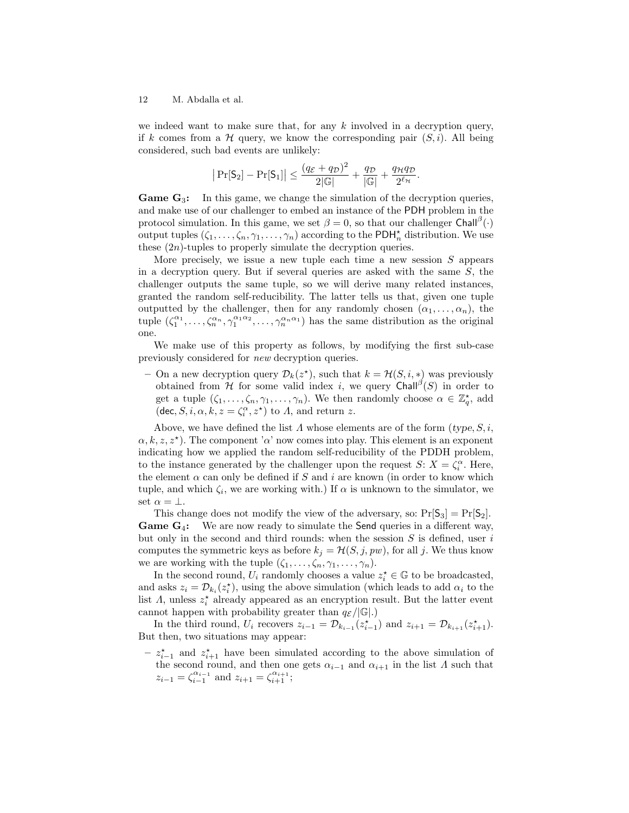we indeed want to make sure that, for any  $k$  involved in a decryption query, if k comes from a H query, we know the corresponding pair  $(S, i)$ . All being considered, such bad events are unlikely:

$$
\big|\Pr[S_2]-\Pr[S_1]\big|\leq \frac{(q_{\mathcal{E}}+q_{\mathcal{D}})^2}{2|\mathbb{G}|}+\frac{q_{\mathcal{D}}}{|\mathbb{G}|}+\frac{q_{\mathcal{H}}q_{\mathcal{D}}}{2^{\ell_{\mathcal{H}}}}
$$

.

**Game**  $G_3$ **:** In this game, we change the simulation of the decryption queries, and make use of our challenger to embed an instance of the PDH problem in the protocol simulation. In this game, we set  $\beta = 0$ , so that our challenger Chall<sup> $\beta$ </sup>(·) output tuples  $(\zeta_1,\ldots,\zeta_n,\gamma_1,\ldots,\gamma_n)$  according to the PDH<sup>\*</sup><sub>n</sub> distribution. We use these  $(2n)$ -tuples to properly simulate the decryption queries.

More precisely, we issue a new tuple each time a new session  $S$  appears in a decryption query. But if several queries are asked with the same  $S$ , the challenger outputs the same tuple, so we will derive many related instances, granted the random self-reducibility. The latter tells us that, given one tuple outputted by the challenger, then for any randomly chosen  $(\alpha_1, \ldots, \alpha_n)$ , the tuple  $(\zeta_1^{\alpha_1}, \ldots, \zeta_n^{\alpha_n}, \gamma_1^{\alpha_1 \alpha_2}, \ldots, \gamma_n^{\alpha_n \alpha_1})$  has the same distribution as the original one.

We make use of this property as follows, by modifying the first sub-case previously considered for new decryption queries.

- On a new decryption query  $\mathcal{D}_k(z^*)$ , such that  $k = \mathcal{H}(S, i, *)$  was previously obtained from H for some valid index i, we query Chall<sup>β</sup>(S) in order to get a tuple  $(\zeta_1,\ldots,\zeta_n,\gamma_1,\ldots,\gamma_n)$ . We then randomly choose  $\alpha \in \mathbb{Z}_q^*$ , add  $(\text{dec}, S, i, \alpha, k, z = \zeta_i^{\alpha}, z^{\star})$  to  $\Lambda$ , and return z.

Above, we have defined the list  $\Lambda$  whose elements are of the form  $(typ, S, i, \Lambda)$  $\alpha, k, z, z^*$ ). The component ' $\alpha$ ' now comes into play. This element is an exponent indicating how we applied the random self-reducibility of the PDDH problem, to the instance generated by the challenger upon the request  $S: X = \zeta_i^{\alpha}$ . Here, the element  $\alpha$  can only be defined if S and i are known (in order to know which tuple, and which  $\zeta_i$ , we are working with.) If  $\alpha$  is unknown to the simulator, we set  $\alpha = \perp$ .

This change does not modify the view of the adversary, so:  $Pr[S_3] = Pr[S_2]$ . **Game**  $G_4$ **:** We are now ready to simulate the **Send** queries in a different way, but only in the second and third rounds: when the session  $S$  is defined, user i computes the symmetric keys as before  $k_j = \mathcal{H}(S, j, pw)$ , for all j. We thus know we are working with the tuple  $(\zeta_1, \ldots, \zeta_n, \gamma_1, \ldots, \gamma_n)$ .

In the second round,  $U_i$  randomly chooses a value  $z_i^* \in \mathbb{G}$  to be broadcasted, and asks  $z_i = \mathcal{D}_{k_i}(z_i^*)$ , using the above simulation (which leads to add  $\alpha_i$  to the list  $\Lambda$ , unless  $z_i^*$  already appeared as an encryption result. But the latter event cannot happen with probability greater than  $q_{\mathcal{E}}/|\mathbb{G}|$ .)

In the third round,  $U_i$  recovers  $z_{i-1} = \mathcal{D}_{k_{i-1}}(z_{i-1}^*)$  and  $z_{i+1} = \mathcal{D}_{k_{i+1}}(z_{i+1}^*)$ . But then, two situations may appear:

−  $z_{i-1}^*$  and  $z_{i+1}^*$  have been simulated according to the above simulation of the second round, and then one gets  $\alpha_{i-1}$  and  $\alpha_{i+1}$  in the list  $\Lambda$  such that  $z_{i-1} = \zeta_{i-1}^{\alpha_{i-1}}$  and  $z_{i+1} = \zeta_{i+1}^{\alpha_{i+1}};$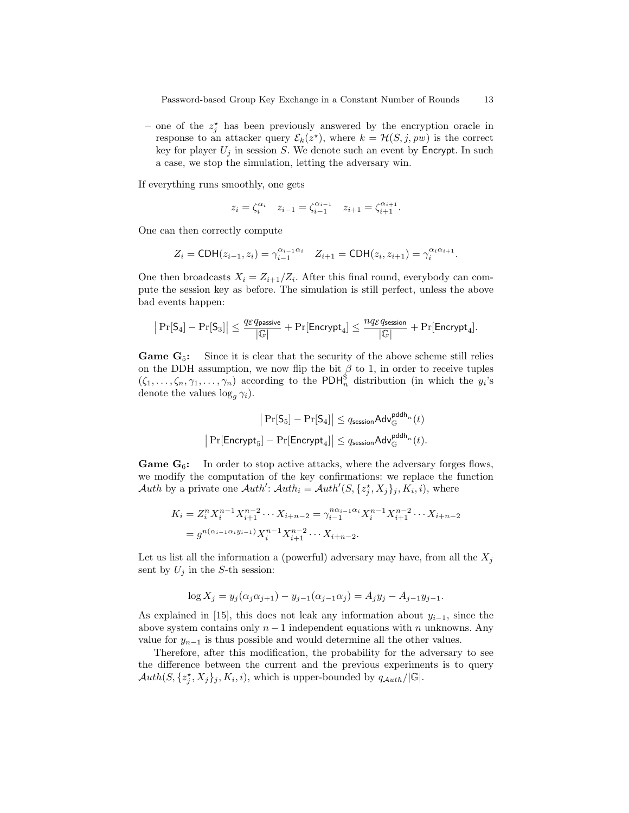– one of the  $z_j^*$  has been previously answered by the encryption oracle in response to an attacker query  $\mathcal{E}_k(z^*)$ , where  $k = \mathcal{H}(S, j, pw)$  is the correct key for player  $U_j$  in session S. We denote such an event by Encrypt. In such a case, we stop the simulation, letting the adversary win.

If everything runs smoothly, one gets

$$
z_i = \zeta_i^{\alpha_i} \quad z_{i-1} = \zeta_{i-1}^{\alpha_{i-1}} \quad z_{i+1} = \zeta_{i+1}^{\alpha_{i+1}}.
$$

One can then correctly compute

$$
Z_i=\text{CDH}(z_{i-1},z_i)=\gamma_{i-1}^{\alpha_{i-1}\alpha_i}\quad Z_{i+1}=\text{CDH}(z_i,z_{i+1})=\gamma_i^{\alpha_i\alpha_{i+1}}.
$$

One then broadcasts  $X_i = Z_{i+1}/Z_i$ . After this final round, everybody can compute the session key as before. The simulation is still perfect, unless the above bad events happen:

$$
\big|\Pr[S_4]-\Pr[S_3]\big|\leq \frac{\text{qg}q_{\text{passive}}}{|\mathbb{G}|}+\Pr[\mathsf{Encrypt}_4]\leq \frac{\text{nqg}q_{\text{session}}}{|\mathbb{G}|}+\Pr[\mathsf{Encrypt}_4].
$$

**Game**  $G_5$ **:** Since it is clear that the security of the above scheme still relies on the DDH assumption, we now flip the bit  $\beta$  to 1, in order to receive tuples  $(\zeta_1,\ldots,\zeta_n,\gamma_1,\ldots,\gamma_n)$  according to the PDH<sup>\$</sup><sub>n</sub> distribution (in which the  $y_i$ 's denote the values  $\log_q \gamma_i$ ).

$$
\big|\Pr[\mathsf{S}_5]-\Pr[\mathsf{S}_4]\big|\leq q_{\text{session}}\mathsf{Adv}_{\mathbb{G}}^{\mathsf{pddh}_n}(t)\\ \big|\Pr[\mathsf{Encrypt}_5]-\Pr[\mathsf{Encrypt}_4]\big|\leq q_{\text{session}}\mathsf{Adv}_{\mathbb{G}}^{\mathsf{pddh}_n}(t).
$$

**Game G<sub>6</sub>:** In order to stop active attacks, where the adversary forges flows, we modify the computation of the key confirmations: we replace the function Auth by a private one  $\mathcal{A}uth'$ :  $\mathcal{A}uth_i = \mathcal{A}uth'(S, \{z_j^*, X_j\}_j, K_i, i)$ , where

$$
K_i = Z_i^n X_i^{n-1} X_{i+1}^{n-2} \cdots X_{i+n-2} = \gamma_{i-1}^{n\alpha_{i-1}\alpha_i} X_i^{n-1} X_{i+1}^{n-2} \cdots X_{i+n-2}
$$
  
=  $g^{n(\alpha_{i-1}\alpha_i y_{i-1})} X_i^{n-1} X_{i+1}^{n-2} \cdots X_{i+n-2}.$ 

Let us list all the information a (powerful) adversary may have, from all the  $X_i$ sent by  $U_j$  in the S-th session:

$$
\log X_j = y_j(\alpha_j \alpha_{j+1}) - y_{j-1}(\alpha_{j-1} \alpha_j) = A_j y_j - A_{j-1} y_{j-1}.
$$

As explained in [15], this does not leak any information about  $y_{i-1}$ , since the above system contains only  $n-1$  independent equations with n unknowns. Any value for  $y_{n-1}$  is thus possible and would determine all the other values.

Therefore, after this modification, the probability for the adversary to see the difference between the current and the previous experiments is to query  $\mathcal{A}uth(S, \{z_j^*, X_j\}_j, K_i, i)$ , which is upper-bounded by  $q_{\mathcal{A}uth}/\mathbb{G}$ .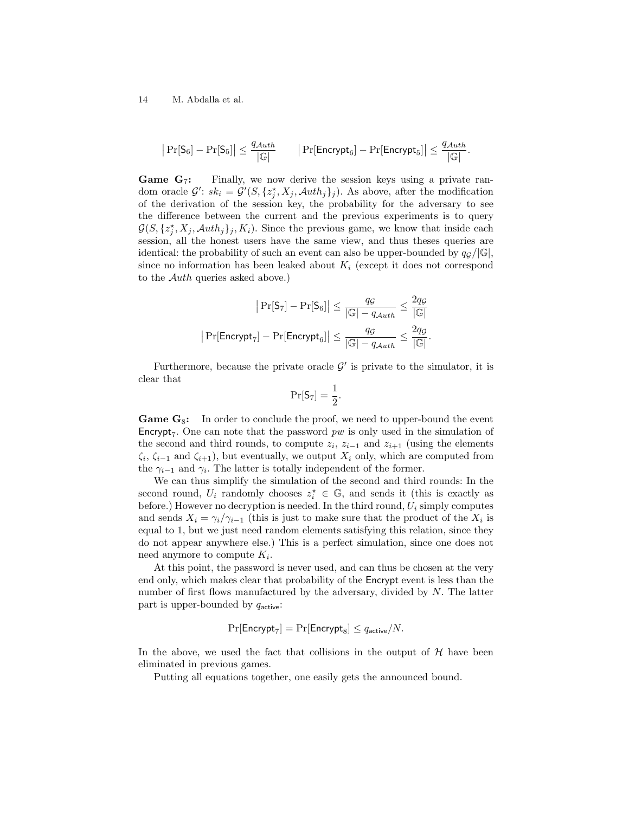$$
\big|\Pr[S_6]-\Pr[S_5]\big|\leq \frac{q_{\mathcal{A}uth}}{|\mathbb{G}|}\qquad \big|\Pr[\mathsf{Encrypt}_6]-\Pr[\mathsf{Encrypt}_5]\big|\leq \frac{q_{\mathcal{A}uth}}{|\mathbb{G}|}.
$$

**Game**  $G_7$ **:** Finally, we now derive the session keys using a private random oracle  $\mathcal{G}'$ :  $sk_i = \mathcal{G}'(S, \{z_j^*, X_j, \mathcal{A}uth_j\}_j)$ . As above, after the modification of the derivation of the session key, the probability for the adversary to see the difference between the current and the previous experiments is to query  $\mathcal{G}(S, \{z_j^*, X_j, \mathcal{A}uth_j\}_j, K_i)$ . Since the previous game, we know that inside each session, all the honest users have the same view, and thus theses queries are identical: the probability of such an event can also be upper-bounded by  $q_G/|\mathbb{G}|$ , since no information has been leaked about  $K_i$  (except it does not correspond to the Auth queries asked above.)

$$
\left| \Pr[S_7] - \Pr[S_6] \right| \le \frac{q_{\mathcal{G}}}{|\mathbb{G}| - q_{\mathcal{A}uth}} \le \frac{2q_{\mathcal{G}}}{|\mathbb{G}|}
$$

$$
\left| \Pr[\mathsf{Encrypt}_7] - \Pr[\mathsf{Encrypt}_6] \right| \le \frac{q_{\mathcal{G}}}{|\mathbb{G}| - q_{\mathcal{A}uth}} \le \frac{2q_{\mathcal{G}}}{|\mathbb{G}|}.
$$

Furthermore, because the private oracle  $\mathcal{G}'$  is private to the simulator, it is clear that

$$
\Pr[S_7] = \frac{1}{2}.
$$

**Game**  $G_8$ **:** In order to conclude the proof, we need to upper-bound the event Encrypt<sub>7</sub>. One can note that the password  $pw$  is only used in the simulation of the second and third rounds, to compute  $z_i$ ,  $z_{i-1}$  and  $z_{i+1}$  (using the elements  $\zeta_i, \zeta_{i-1}$  and  $\zeta_{i+1}$ , but eventually, we output  $X_i$  only, which are computed from the  $\gamma_{i-1}$  and  $\gamma_i$ . The latter is totally independent of the former.

We can thus simplify the simulation of the second and third rounds: In the second round,  $U_i$  randomly chooses  $z_i^* \in \mathbb{G}$ , and sends it (this is exactly as before.) However no decryption is needed. In the third round,  $U_i$  simply computes and sends  $X_i = \gamma_i / \gamma_{i-1}$  (this is just to make sure that the product of the  $X_i$  is equal to 1, but we just need random elements satisfying this relation, since they do not appear anywhere else.) This is a perfect simulation, since one does not need anymore to compute  $K_i$ .

At this point, the password is never used, and can thus be chosen at the very end only, which makes clear that probability of the Encrypt event is less than the number of first flows manufactured by the adversary, divided by N. The latter part is upper-bounded by  $q_{\text{active}}$ :

$$
\Pr[\mathsf{Encrypt}_7] = \Pr[\mathsf{Encrypt}_8] \le q_{\mathsf{active}}/N.
$$

In the above, we used the fact that collisions in the output of  $H$  have been eliminated in previous games.

Putting all equations together, one easily gets the announced bound.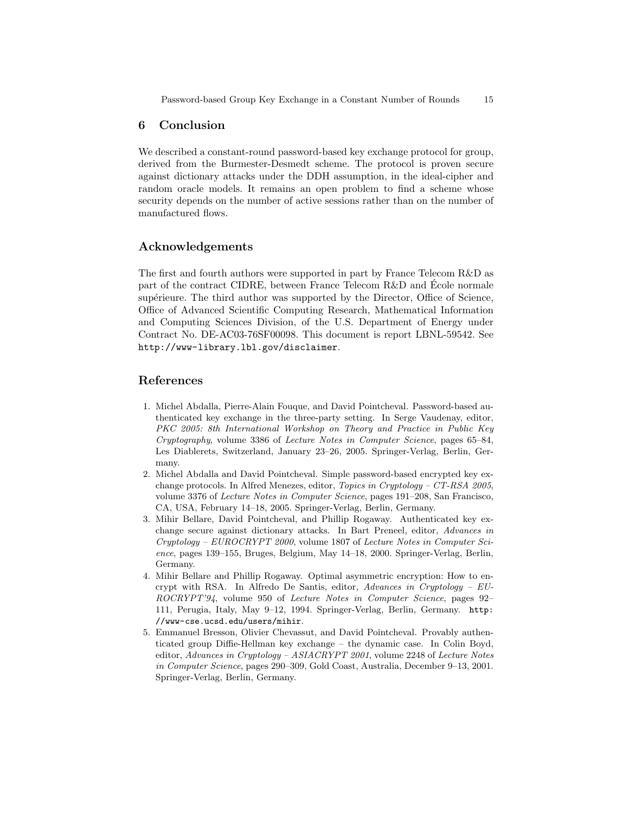# 6 Conclusion

We described a constant-round password-based key exchange protocol for group, derived from the Burmester-Desmedt scheme. The protocol is proven secure against dictionary attacks under the DDH assumption, in the ideal-cipher and random oracle models. It remains an open problem to find a scheme whose security depends on the number of active sessions rather than on the number of manufactured flows.

# Acknowledgements

The first and fourth authors were supported in part by France Telecom R&D as part of the contract CIDRE, between France Telecom R&D and Ecole normale ´ supérieure. The third author was supported by the Director, Office of Science, Office of Advanced Scientific Computing Research, Mathematical Information and Computing Sciences Division, of the U.S. Department of Energy under Contract No. DE-AC03-76SF00098. This document is report LBNL-59542. See http://www-library.lbl.gov/disclaimer.

# References

- 1. Michel Abdalla, Pierre-Alain Fouque, and David Pointcheval. Password-based authenticated key exchange in the three-party setting. In Serge Vaudenay, editor, PKC 2005: 8th International Workshop on Theory and Practice in Public Key Cryptography, volume 3386 of Lecture Notes in Computer Science, pages 65–84, Les Diablerets, Switzerland, January 23–26, 2005. Springer-Verlag, Berlin, Germany.
- 2. Michel Abdalla and David Pointcheval. Simple password-based encrypted key exchange protocols. In Alfred Menezes, editor, Topics in Cryptology – CT-RSA 2005, volume 3376 of Lecture Notes in Computer Science, pages 191–208, San Francisco, CA, USA, February 14–18, 2005. Springer-Verlag, Berlin, Germany.
- 3. Mihir Bellare, David Pointcheval, and Phillip Rogaway. Authenticated key exchange secure against dictionary attacks. In Bart Preneel, editor, Advances in Cryptology – EUROCRYPT 2000, volume 1807 of Lecture Notes in Computer Science, pages 139–155, Bruges, Belgium, May 14–18, 2000. Springer-Verlag, Berlin, Germany.
- 4. Mihir Bellare and Phillip Rogaway. Optimal asymmetric encryption: How to encrypt with RSA. In Alfredo De Santis, editor, Advances in Cryptology – EU-ROCRYPT'94, volume 950 of Lecture Notes in Computer Science, pages 92– 111, Perugia, Italy, May 9–12, 1994. Springer-Verlag, Berlin, Germany. http: //www-cse.ucsd.edu/users/mihir.
- 5. Emmanuel Bresson, Olivier Chevassut, and David Pointcheval. Provably authenticated group Diffie-Hellman key exchange – the dynamic case. In Colin Boyd, editor, Advances in Cryptology – ASIACRYPT 2001, volume 2248 of Lecture Notes in Computer Science, pages 290–309, Gold Coast, Australia, December 9–13, 2001. Springer-Verlag, Berlin, Germany.